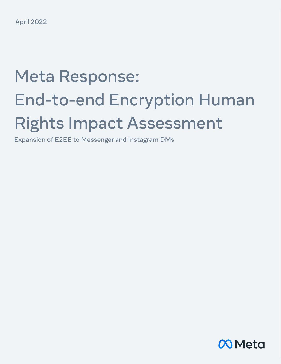# Meta Response: End-to-end Encryption Human Rights Impact Assessment

Expansion of E2EE to Messenger and Instagram DMs

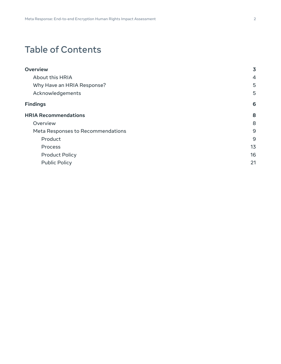# Table of Contents

| <b>Overview</b>                   | 3  |
|-----------------------------------|----|
| About this HRIA                   | 4  |
| Why Have an HRIA Response?        | 5  |
| Acknowledgements                  | 5  |
| <b>Findings</b>                   | 6  |
| <b>HRIA Recommendations</b>       | 8  |
| Overview                          | 8  |
| Meta Responses to Recommendations | 9  |
| Product                           | 9  |
| Process                           | 13 |
| <b>Product Policy</b>             | 16 |
| <b>Public Policy</b>              | 21 |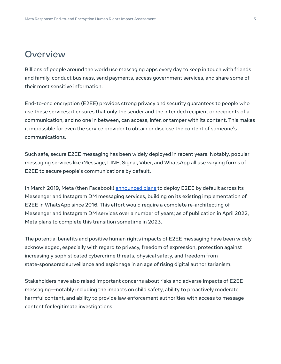# <span id="page-2-0"></span>**Overview**

Billions of people around the world use messaging apps every day to keep in touch with friends and family, conduct business, send payments, access government services, and share some of their most sensitive information.

End-to-end encryption (E2EE) provides strong privacy and security guarantees to people who use these services: it ensures that only the sender and the intended recipient or recipients of a communication, and no one in between, can access, infer, or tamper with its content. This makes it impossible for even the service provider to obtain or disclose the content of someone's communications.

Such safe, secure E2EE messaging has been widely deployed in recent years. Notably, popular messaging services like iMessage, LINE, Signal, Viber, and WhatsApp all use varying forms of E2EE to secure people's communications by default.

In March 2019, Meta (then Facebook) [announced](https://www.facebook.com/notes/2420600258234172/) plans to deploy E2EE by default across its Messenger and Instagram DM messaging services, building on its existing implementation of E2EE in WhatsApp since 2016. This effort would require a complete re-architecting of Messenger and Instagram DM services over a number of years; as of publication in April 2022, Meta plans to complete this transition sometime in 2023.

The potential benefits and positive human rights impacts of E2EE messaging have been widely acknowledged, especially with regard to privacy, freedom of expression, protection against increasingly sophisticated cybercrime threats, physical safety, and freedom from state-sponsored surveillance and espionage in an age of rising digital authoritarianism.

Stakeholders have also raised important concerns about risks and adverse impacts of E2EE messaging—notably including the impacts on child safety, ability to proactively moderate harmful content, and ability to provide law enforcement authorities with access to message content for legitimate investigations.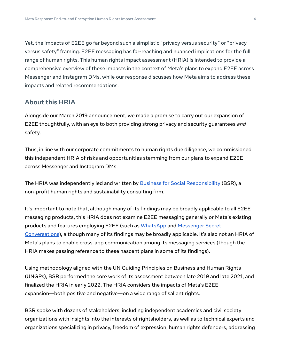Yet, the impacts of E2EE go far beyond such a simplistic "privacy versus security" or "privacy versus safety" framing. E2EE messaging has far-reaching and nuanced implications for the full range of human rights. This human rights impact assessment (HRIA) is intended to provide a comprehensive overview of these impacts in the context of Meta's plans to expand E2EE across Messenger and Instagram DMs, while our response discusses how Meta aims to address these impacts and related recommendations.

### <span id="page-3-0"></span>**About this HRIA**

Alongside our March 2019 announcement, we made a promise to carry out our expansion of E2EE thoughtfully, with an eye to both providing strong privacy and security guarantees and safety.

Thus, in line with our corporate commitments to human rights due diligence, we commissioned this independent HRIA of risks and opportunities stemming from our plans to expand E2EE across Messenger and Instagram DMs.

The HRIA was independently led and written by Business for Social [Responsibility](http://www.bsr.org/en/) (BSR), a non-profit human rights and sustainability consulting firm.

It's important to note that, although many of its findings may be broadly applicable to all E2EE messaging products, this HRIA does not examine E2EE messaging generally or Meta's existing products and features employing E2EE (such as [WhatsApp](https://www.whatsapp.com/) and [Messenger](https://www.facebook.com/help/messenger-app/1084673321594605) Secret [Conversations](https://www.facebook.com/help/messenger-app/1084673321594605)), although many of its findings may be broadly applicable. It's also not an HRIA of Meta's plans to enable cross-app communication among its messaging services (though the HRIA makes passing reference to these nascent plans in some of its findings).

Using methodology aligned with the UN Guiding Principles on Business and Human Rights (UNGPs), BSR performed the core work of its assessment between late 2019 and late 2021, and finalized the HRIA in early 2022. The HRIA considers the impacts of Meta's E2EE expansion—both positive and negative—on a wide range of salient rights.

BSR spoke with dozens of stakeholders, including independent academics and civil society organizations with insights into the interests of rightsholders, as well as to technical experts and organizations specializing in privacy, freedom of expression, human rights defenders, addressing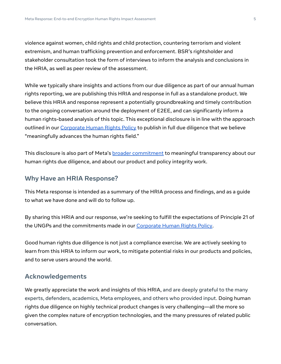violence against women, child rights and child protection, countering terrorism and violent extremism, and human trafficking prevention and enforcement. BSR's rightsholder and stakeholder consultation took the form of interviews to inform the analysis and conclusions in the HRIA, as well as peer review of the assessment.

While we typically share insights and actions from our due diligence as part of our annual human rights reporting, we are publishing this HRIA and response in full as a standalone product. We believe this HRIA and response represent a potentially groundbreaking and timely contribution to the ongoing conversation around the deployment of E2EE, and can significantly inform a human rights-based analysis of this topic. This exceptional disclosure is in line with the approach outlined in our [Corporate](https://about.fb.com/wp-content/uploads/2021/04/Facebooks-Corporate-Human-Rights-Policy.pdf) Human Rights Policy to publish in full due diligence that we believe "meaningfully advances the human rights field."

This disclosure is also part of Meta's **broader [commitment](https://about.fb.com/wp-content/uploads/2021/04/Facebooks-Corporate-Human-Rights-Policy.pdf) to meaningful transparency** about our human rights due diligence, and about our product and policy integrity work.

## <span id="page-4-0"></span>**Why Have an HRIA Response?**

This Meta response is intended as a summary of the HRIA process and findings, and as a guide to what we have done and will do to follow up.

By sharing this HRIA and our response, we're seeking to fulfill the expectations of Principle 21 of the UNGPs and the commitments made in our [Corporate](https://about.fb.com/wp-content/uploads/2021/03/Facebooks-Corporate-Human-Rights-Policy.pdf) Human Rights Policy.

Good human rights due diligence is not just a compliance exercise. We are actively seeking to learn from this HRIA to inform our work, to mitigate potential risks in our products and policies, and to serve users around the world.

## <span id="page-4-1"></span>**Acknowledgements**

We greatly appreciate the work and insights of this HRIA, and are deeply grateful to the many experts, defenders, academics, Meta employees, and others who provided input. Doing human rights due diligence on highly technical product changes is very challenging—all the more so given the complex nature of encryption technologies, and the many pressures of related public conversation.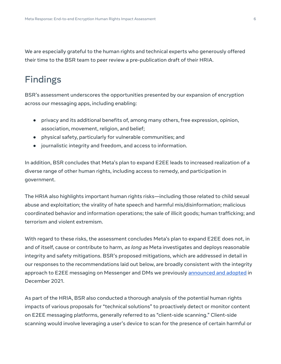We are especially grateful to the human rights and technical experts who generously offered their time to the BSR team to peer review a pre-publication draft of their HRIA.

# <span id="page-5-0"></span>Findings

BSR's assessment underscores the opportunities presented by our expansion of encryption across our messaging apps, including enabling:

- privacy and its additional benefits of, among many others, free expression, opinion, association, movement, religion, and belief;
- physical safety, particularly for vulnerable communities; and
- journalistic integrity and freedom, and access to information.

In addition, BSR concludes that Meta's plan to expand E2EE leads to increased realization of a diverse range of other human rights, including access to remedy, and participation in government.

The HRIA also highlights important human rights risks—including those related to child sexual abuse and exploitation; the virality of hate speech and harmful mis/disinformation; malicious coordinated behavior and information operations; the sale of illicit goods; human trafficking; and terrorism and violent extremism.

With regard to these risks, the assessment concludes Meta's plan to expand E2EE does not, in and of itself, cause or contribute to harm, as long as Meta investigates and deploys reasonable integrity and safety mitigations. BSR's proposed mitigations, which are addressed in detail in our responses to the recommendations laid out below, are broadly consistent with the integrity approach to E2EE messaging on Messenger and DMs we previously [announced](https://about.fb.com/news/2021/12/metas-approach-to-safer-private-messaging/) and adopted in December 2021.

As part of the HRIA, BSR also conducted a thorough analysis of the potential human rights impacts of various proposals for "technical solutions" to proactively detect or monitor content on E2EE messaging platforms, generally referred to as "client-side scanning." Client-side scanning would involve leveraging a user's device to scan for the presence of certain harmful or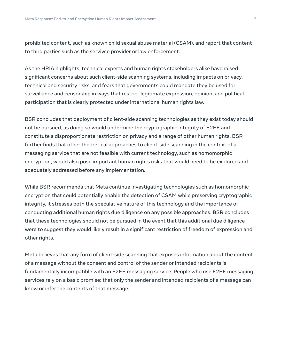prohibited content, such as known child sexual abuse material (CSAM), and report that content to third parties such as the servivce provider or law enforcement.

As the HRIA highlights, technical experts and human rights stakeholders alike have raised significant concerns about such client-side scanning systems, including impacts on privacy, technical and security risks, and fears that governments could mandate they be used for surveillance and censorship in ways that restrict legitimate expression, opinion, and political participation that is clearly protected under international human rights law.

BSR concludes that deployment of client-side scanning technologies as they exist today should not be pursued, as doing so would undermine the cryptographic integrity of E2EE and constitute a disproportionate restriction on privacy and a range of other human rights. BSR further finds that other theoretical approaches to client-side scanning in the context of a messaging service that are not feasible with current technology, such as homomorphic encryption, would also pose important human rights risks that would need to be explored and adequately addressed before any implementation.

While BSR recommends that Meta continue investigating technologies such as homomorphic encryption that could potentially enable the detection of CSAM while preserving cryptographic integrity, it stresses both the speculative nature of this technology and the importance of conducting additional human rights due diligence on any possible approaches. BSR concludes that these technologies should not be pursued in the event that this additional due diligence were to suggest they would likely result in a significant restriction of freedom of expression and other rights.

Meta believes that any form of client-side scanning that exposes information about the content of a message without the consent and control of the sender or intended recipients is fundamentally incompatible with an E2EE messaging service. People who use E2EE messaging services rely on a basic promise: that only the sender and intended recipients of a message can know or infer the contents of that message.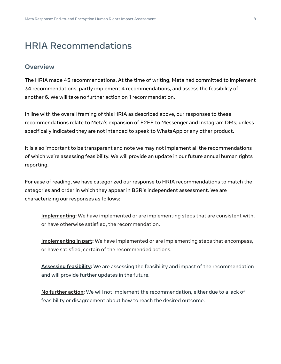# <span id="page-7-0"></span>HRIA Recommendations

#### <span id="page-7-1"></span>**Overview**

The HRIA made 45 recommendations. At the time of writing, Meta had committed to implement 34 recommendations, partly implement 4 recommendations, and assess the feasibility of another 6. We will take no further action on 1 recommendation.

In line with the overall framing of this HRIA as described above, our responses to these recommendations relate to Meta's expansion of E2EE to Messenger and Instagram DMs; unless specifically indicated they are not intended to speak to WhatsApp or any other product.

It is also important to be transparent and note we may not implement all the recommendations of which we're assessing feasibility. We will provide an update in our future annual human rights reporting.

For ease of reading, we have categorized our response to HRIA recommendations to match the categories and order in which they appear in BSR's independent assessment. We are characterizing our responses as follows:

**Implementing:** We have implemented or are implementing steps that are consistent with, or have otherwise satisfied, the recommendation.

**Implementing in part:** We have implemented or are implementing steps that encompass, or have satisfied, certain of the recommended actions.

**Assessing feasibility:** We are assessing the feasibility and impact of the recommendation and will provide further updates in the future.

**No further action:** We will not implement the recommendation, either due to a lack of feasibility or disagreement about how to reach the desired outcome.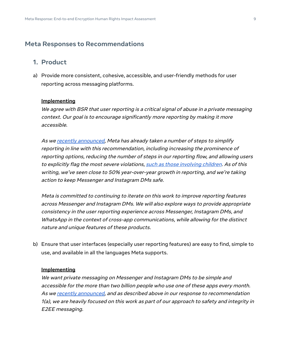#### <span id="page-8-0"></span>**Meta Responses to Recommendations**

#### <span id="page-8-1"></span>**1. Product**

a) Provide more consistent, cohesive, accessible, and user-friendly methods for user reporting across messaging platforms.

#### **Implementing**

We agree with BSR that user reporting is <sup>a</sup> critical signal of abuse in <sup>a</sup> private messaging context. Our goal is to encourage significantly more reporting by making it more accessible.

As we recently [announced,](https://about.fb.com/news/2021/12/metas-approach-to-safer-private-messaging/) Meta has already taken <sup>a</sup> number of steps to simplify reporting in line with this recommendation, including increasing the prominence of reporting options, reducing the number of steps in our reporting flow, and allowing users to explicitly flag the most severe violations, such as those [involving](https://about.fb.com/news/2021/02/preventing-child-exploitation-on-our-apps/) children. As of this writing, we've seen close to 50% year-over-year growth in reporting, and we're taking action to keep Messenger and Instagram DMs safe.

Meta is committed to continuing to iterate on this work to improve reporting features across Messenger and Instagram DMs. We will also explore ways to provide appropriate consistency in the user reporting experience across Messenger, Instagram DMs, and WhatsApp in the context of cross-app communications, while allowing for the distinct nature and unique features of these products.

b) Ensure that user interfaces (especially user reporting features) are easy to find, simple to use, and available in all the languages Meta supports.

#### **Implementing**

We want private messaging on Messenger and Instagram DMs to be simple and accessible for the more than two billion people who use one of these apps every month. As we recently [announced,](https://about.fb.com/news/2021/12/metas-approach-to-safer-private-messaging/) and as described above in our response to recommendation 1(a), we are heavily focused on this work as part of our approach to safety and integrity in E2EE messaging.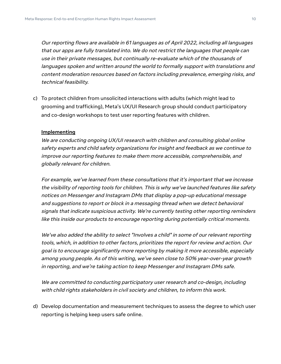Our reporting flows are available in 61 languages as of April 2022, including all languages that our apps are fully translated into. We do not restrict the languages that people can use in their private messages, but continually re-evaluate which of the thousands of languages spoken and written around the world to formally support with translations and content moderation resources based on factors including prevalence, emerging risks, and technical feasibility.

c) To protect children from unsolicited interactions with adults (which might lead to grooming and trafficking), Meta's UX/UI Research group should conduct participatory and co-design workshops to test user reporting features with children.

#### **Implementing**

We are conducting ongoing UX/UI research with children and consulting global online safety experts and child safety organizations for insight and feedback as we continue to improve our reporting features to make them more accessible, comprehensible, and globally relevant for children.

For example, we've learned from these consultations that it's important that we increase the visibility of reporting tools for children. This is why we've launched features like safety notices on Messenger and Instagram DMs that display <sup>a</sup> pop-up educational message and suggestions to report or block in <sup>a</sup> messaging thread when we detect behavioral signals that indicate suspicious activity. We're currently testing other reporting reminders like this inside our products to encourage reporting during potentially critical moments.

We've also added the ability to select "Involves <sup>a</sup> child" in some of our relevant reporting tools, which, in addition to other factors, prioritizes the report for review and action. Our goal is to encourage significantly more reporting by making it more accessible, especially among young people. As of this writing, we've seen close to 50% year-over-year growth in reporting, and we're taking action to keep Messenger and Instagram DMs safe.

We are committed to conducting participatory user research and co-design, including with child rights stakeholders in civil society and children, to inform this work.

d) Develop documentation and measurement techniques to assess the degree to which user reporting is helping keep users safe online.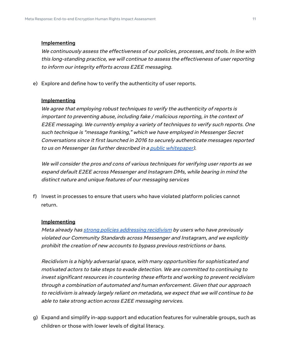We continuously assess the effectiveness of our policies, processes, and tools. In line with this long-standing practice, we will continue to assess the effectiveness of user reporting to inform our integrity efforts across E2EE messaging.

e) Explore and define how to verify the authenticity of user reports.

#### **Implementing**

We agree that employing robust techniques to verify the authenticity of reports is important to preventing abuse, including fake / malicious reporting, in the context of E2EE messaging. We currently employ <sup>a</sup> variety of techniques to verify such reports. One such technique is "message franking," which we have employed in Messenger Secret Conversations since it first launched in 2016 to securely authenticate messages reported to us on Messenger (as further described in a *public [whitepaper](https://about.fb.com/wp-content/uploads/2016/07/messenger-secret-conversations-technical-whitepaper.pdf))*.

We will consider the pros and cons of various techniques for verifying user reports as we expand default E2EE across Messenger and Instagram DMs, while bearing in mind the distinct nature and unique features of our messaging services

f) Invest in processes to ensure that users who have violated platform policies cannot return.

#### **Implementing**

Meta already has strong policies [addressing](https://transparency.fb.com/en-gb/policies/community-standards/account-integrity-and-authentic-identity/) recidivism by users who have previously violated our Community Standards across Messenger and Instagram, and we explicitly prohibit the creation of new accounts to bypass previous restrictions or bans.

Recidivism is <sup>a</sup> highly adversarial space, with many opportunities for sophisticated and motivated actors to take steps to evade detection. We are committed to continuing to invest significant resources in countering these efforts and working to prevent recidivism through <sup>a</sup> combination of automated and human enforcement. Given that our approach to recidivism is already largely reliant on metadata, we expect that we will continue to be able to take strong action across E2EE messaging services.

g) Expand and simplify in-app support and education features for vulnerable groups, such as children or those with lower levels of digital literacy.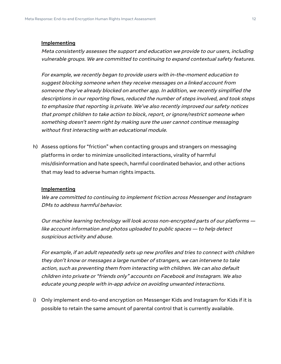Meta consistently assesses the support and education we provide to our users, including vulnerable groups. We are committed to continuing to expand contextual safety features.

For example, we recently began to provide users with in-the-moment education to suggest blocking someone when they receive messages on <sup>a</sup> linked account from someone they've already blocked on another app. In addition, we recently simplified the descriptions in our reporting flows, reduced the number of steps involved, and took steps to emphasize that reporting is private. We've also recently improved our safety notices that prompt children to take action to block, report, or ignore/restrict someone when something doesn't seem right by making sure the user cannot continue messaging without first interacting with an educational module.

h) Assess options for "friction" when contacting groups and strangers on messaging platforms in order to minimize unsolicited interactions, virality of harmful mis/disinformation and hate speech, harmful coordinated behavior, and other actions that may lead to adverse human rights impacts.

#### **Implementing**

We are committed to continuing to implement friction across Messenger and Instagram DMs to address harmful behavior.

Our machine learning technology will look across non-encrypted parts of our platforms like account information and photos uploaded to public spaces — to help detect suspicious activity and abuse.

For example, if an adult repeatedly sets up new profiles and tries to connect with children they don't know or messages <sup>a</sup> large number of strangers, we can intervene to take action, such as preventing them from interacting with children. We can also default children into private or "friends only" accounts on Facebook and Instagram. We also educate young people with in-app advice on avoiding unwanted interactions.

i) Only implement end-to-end encryption on Messenger Kids and Instagram for Kids if it is possible to retain the same amount of parental control that is currently available.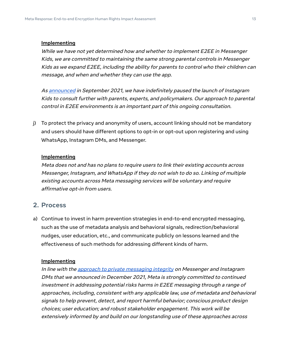While we have not yet determined how and whether to implement E2EE in Messenger Kids, we are committed to maintaining the same strong parental controls in Messenger Kids as we expand E2EE, including the ability for parents to control who their children can message, and when and whether they can use the app.

As [announced](https://about.instagram.com/blog/announcements/pausing-instagram-kids) in September 2021, we have indefinitely paused the launch of Instagram Kids to consult further with parents, experts, and policymakers. Our approach to parental control in E2EE environments is an important part of this ongoing consultation.

j) To protect the privacy and anonymity of users, account linking should not be mandatory and users should have different options to opt-in or opt-out upon registering and using WhatsApp, Instagram DMs, and Messenger.

#### **Implementing**

Meta does not and has no plans to require users to link their existing accounts across Messenger, Instagram, and WhatsApp if they do not wish to do so. Linking of multiple existing accounts across Meta messaging services will be voluntary and require affirmative opt-in from users.

#### <span id="page-12-0"></span>**2. Process**

a) Continue to invest in harm prevention strategies in end-to-end encrypted messaging, such as the use of metadata analysis and behavioral signals, redirection/behavioral nudges, user education, etc., and communicate publicly on lessons learned and the effectiveness of such methods for addressing different kinds of harm.

#### **Implementing**

In line with the approach to private [messaging](https://about.fb.com/news/2021/12/metas-approach-to-safer-private-messaging/) integrity on Messenger and Instagram DMs that we announced in December 2021, Meta is strongly committed to continued investment in addressing potential risks harms in E2EE messaging through <sup>a</sup> range of approaches, including, consistent with any applicable law, use of metadata and behavioral signals to help prevent, detect, and report harmful behavior; conscious product design choices; user education; and robust stakeholder engagement. This work will be extensively informed by and build on our longstanding use of these approaches across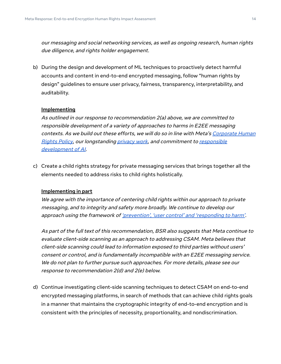our messaging and social networking services, as well as ongoing research, human rights due diligence, and rights holder engagement.

b) During the design and development of ML techniques to proactively detect harmful accounts and content in end-to-end encrypted messaging, follow "human rights by design" guidelines to ensure user privacy, fairness, transparency, interpretability, and auditability.

#### **Implementing**

As outlined in our response to recommendation 2(a) above, we are committed to responsible development of <sup>a</sup> variety of approaches to harms in E2EE messaging contexts. As we build out these efforts, we will do so in line with Meta's [Corporate](https://about.fb.com/wp-content/uploads/2021/03/Facebooks-Corporate-Human-Rights-Policy.pdf) Human [Rights](https://about.fb.com/wp-content/uploads/2021/03/Facebooks-Corporate-Human-Rights-Policy.pdf) Policy, our longstanding [privacy](https://about.facebook.com/actions/protecting-privacy-and-security/) work, and commitment to [responsible](https://ai.facebook.com/blog/facebooks-five-pillars-of-responsible-ai/) [development](https://ai.facebook.com/blog/facebooks-five-pillars-of-responsible-ai/) of AI.

c) Create a child rights strategy for private messaging services that brings together all the elements needed to address risks to child rights holistically.

#### **Implementing in part**

We agree with the importance of centering child rights within our approach to private messaging, and to integrity and safety more broadly. We continue to develop our approach using the framework of ['prevention',](https://about.fb.com/news/2021/12/metas-approach-to-safer-private-messaging/) 'user control' and 'responding to harm'.

As part of the full text of this recommendation, BSR also suggests that Meta continue to evaluate client-side scanning as an approach to addressing CSAM. Meta believes that client-side scanning could lead to information exposed to third parties without users' consent or control, and is fundamentally incompatible with an E2EE messaging service. We do not plan to further pursue such approaches. For more details, please see our response to recommendation 2(d) and 2(e) below.

d) Continue investigating client-side scanning techniques to detect CSAM on end-to-end encrypted messaging platforms, in search of methods that can achieve child rights goals in a manner that maintains the cryptographic integrity of end-to-end encryption and is consistent with the principles of necessity, proportionality, and nondiscrimination.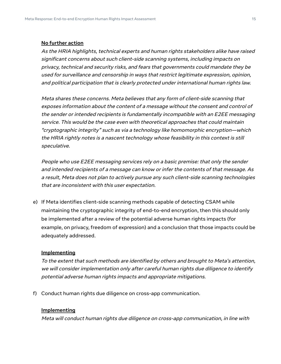#### **No further action**

As the HRIA highlights, technical experts and human rights stakeholders alike have raised significant concerns about such client-side scanning systems, including impacts on privacy, technical and security risks, and fears that governments could mandate they be used for surveillance and censorship in ways that restrict legitimate expression, opinion, and political participation that is clearly protected under international human rights law.

Meta shares these concerns. Meta believes that any form of client-side scanning that exposes information about the content of <sup>a</sup> message without the consent and control of the sender or intended recipients is fundamentally incompatible with an E2EE messaging service. This would be the case even with theoretical approaches that could maintain "cryptographic integrity" such as via <sup>a</sup> technology like homomorphic encryption—which the HRIA rightly notes is <sup>a</sup> nascent technology whose feasibility in this context is still speculative.

People who use E2EE messaging services rely on <sup>a</sup> basic premise: that only the sender and intended recipients of <sup>a</sup> message can know or infer the contents of that message. As <sup>a</sup> result, Meta does not plan to actively pursue any such client-side scanning technologies that are inconsistent with this user expectation.

e) If Meta identifies client-side scanning methods capable of detecting CSAM while maintaining the cryptographic integrity of end-to-end encryption, then this should only be implemented after a review of the potential adverse human rights impacts (for example, on privacy, freedom of expression) and a conclusion that those impacts could be adequately addressed.

#### **Implementing**

To the extent that such methods are identified by others and brought to Meta's attention, we will consider implementation only after careful human rights due diligence to identify potential adverse human rights impacts and appropriate mitigations.

f) Conduct human rights due diligence on cross-app communication.

#### **Implementing**

Meta will conduct human rights due diligence on cross-app communication, in line with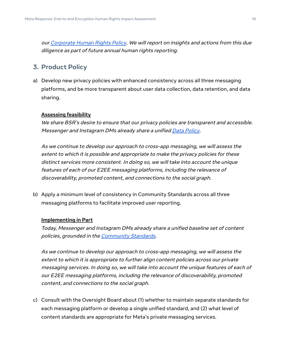our [Corporate](https://about.fb.com/wp-content/uploads/2021/04/Facebooks-Corporate-Human-Rights-Policy.pdf) Human Rights Policy. We will report on insights and actions from this due diligence as part of future annual human rights reporting.

## <span id="page-15-0"></span>**3. Product Policy**

a) Develop new privacy policies with enhanced consistency across all three messaging platforms, and be more transparent about user data collection, data retention, and data sharing.

#### **Assessing feasibility**

We share BSR's desire to ensure that our privacy policies are transparent and accessible. Messenger and Instagram DMs already share a unified Data [Policy](https://www.facebook.com/policy.php).

As we continue to develop our approach to cross-app messaging, we will assess the extent to which it is possible and appropriate to make the privacy policies for these distinct services more consistent. In doing so, we will take into account the unique features of each of our E2EE messaging platforms, including the relevance of discoverability, promoted content, and connections to the social graph.

b) Apply a minimum level of consistency in Community Standards across all three messaging platforms to facilitate improved user reporting.

#### **Implementing in Part**

Today, Messenger and Instagram DMs already share <sup>a</sup> unified baseline set of content policies, grounded in the [Community](https://transparency.fb.com/policies/community-standards/) Standards.

As we continue to develop our approach to cross-app messaging, we will assess the extent to which it is appropriate to further align content policies across our private messaging services. In doing so, we will take into account the unique features of each of our E2EE messaging platforms, including the relevance of discoverability, promoted content, and connections to the social graph.

c) Consult with the Oversight Board about (1) whether to maintain separate standards for each messaging platform or develop a single unified standard, and (2) what level of content standards are appropriate for Meta's private messaging services.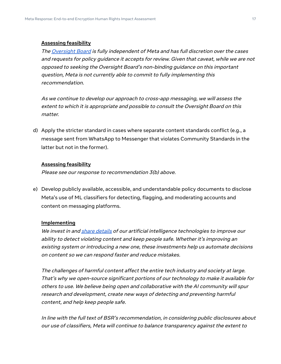#### **Assessing feasibility**

The [Oversight](https://oversightboard.com/) Board is fully independent of Meta and has full discretion over the cases and requests for policy guidance it accepts for review. Given that caveat, while we are not opposed to seeking the Oversight Board's non-binding guidance on this important question, Meta is not currently able to commit to fully implementing this recommendation.

As we continue to develop our approach to cross-app messaging, we will assess the extent to which it is appropriate and possible to consult the Oversight Board on this matter.

d) Apply the stricter standard in cases where separate content standards conflict (e.g., a message sent from WhatsApp to Messenger that violates Community Standards in the latter but not in the former).

#### **Assessing feasibility**

Please see our response to recommendation 3(b) above.

e) Develop publicly available, accessible, and understandable policy documents to disclose Meta's use of ML classifiers for detecting, flagging, and moderating accounts and content on messaging platforms.

#### **Implementing**

We invest in and share [details](https://transparency.fb.com/en-gb/enforcement/detecting-violations/investing-in-technology/) of our artificial intelligence technologies to improve our ability to detect violating content and keep people safe. Whether it's improving an existing system or introducing <sup>a</sup> new one, these investments help us automate decisions on content so we can respond faster and reduce mistakes.

The challenges of harmful content affect the entire tech industry and society at large. That's why we open-source significant portions of our technology to make it available for others to use. We believe being open and collaborative with the AI community will spur research and development, create new ways of detecting and preventing harmful content, and help keep people safe.

In line with the full text of BSR's recommendation, in considering public disclosures about our use of classifiers, Meta will continue to balance transparency against the extent to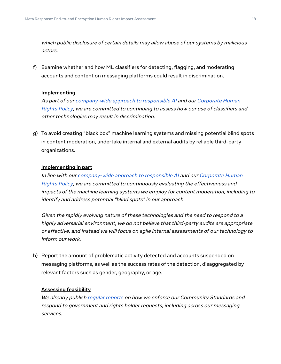which public disclosure of certain details may allow abuse of our systems by malicious actors.

f) Examine whether and how ML classifiers for detecting, flagging, and moderating accounts and content on messaging platforms could result in discrimination.

#### **Implementing**

As part of our *[company-wide](https://ai.facebook.com/blog/facebooks-five-pillars-of-responsible-ai/) approach to responsible AI* and our *[Corporate](https://about.fb.com/wp-content/uploads/2021/03/Facebooks-Corporate-Human-Rights-Policy.pdf) Human* [Rights](https://about.fb.com/wp-content/uploads/2021/03/Facebooks-Corporate-Human-Rights-Policy.pdf) Policy, we are committed to continuing to assess how our use of classifiers and other technologies may result in discrimination.

g) To avoid creating "black box" machine learning systems and missing potential blind spots in content moderation, undertake internal and external audits by reliable third-party organizations.

#### **Implementing in part**

In line with our [company-wide](https://ai.facebook.com/blog/facebooks-five-pillars-of-responsible-ai/) approach to responsible AI and our [Corporate](https://about.fb.com/wp-content/uploads/2021/03/Facebooks-Corporate-Human-Rights-Policy.pdf) Human [Rights](https://about.fb.com/wp-content/uploads/2021/03/Facebooks-Corporate-Human-Rights-Policy.pdf) Policy, we are committed to continuously evaluating the effectiveness and impacts of the machine learning systems we employ for content moderation, including to identify and address potential "blind spots" in our approach.

Given the rapidly evolving nature of these technologies and the need to respond to <sup>a</sup> highly adversarial environment, we do not believe that third-party audits are appropriate or effective, and instead we will focus on agile internal assessments of our technology to inform our work.

h) Report the amount of problematic activity detected and accounts suspended on messaging platforms, as well as the success rates of the detection, disaggregated by relevant factors such as gender, geography, or age.

#### **Assessing feasibility**

We already publish <u>[regular](https://transparency.fb.com/data/) reports</u> on how we enforce our Community Standards and respond to government and rights holder requests, including across our messaging services.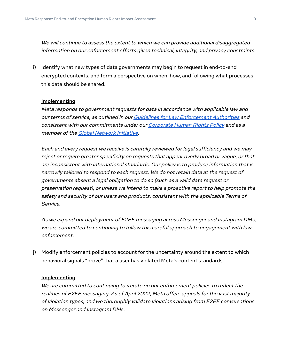We will continue to assess the extent to which we can provide additional disaggregated information on our enforcement efforts given technical, integrity, and privacy constraints.

i) Identify what new types of data governments may begin to request in end-to-end encrypted contexts, and form a perspective on when, how, and following what processes this data should be shared.

#### **Implementing**

Meta responds to government requests for data in accordance with applicable law and our terms of service, as outlined in our Guidelines for Law [Enforcement](https://www.facebook.com/safety/groups/law/guidelines/) Authorities and consistent with our commitments under our [Corporate](https://about.fb.com/wp-content/uploads/2021/03/Facebooks-Corporate-Human-Rights-Policy.pdf) Human Rights Policy and as a member of the Global [Network](https://globalnetworkinitiative.org/) Initiative.

Each and every request we receive is carefully reviewed for legal sufficiency and we may reject or require greater specificity on requests that appear overly broad or vague, or that are inconsistent with international standards. Our policy is to produce information that is narrowly tailored to respond to each request. We do not retain data at the request of governments absent <sup>a</sup> legal obligation to do so (such as <sup>a</sup> valid data request or preservation request), or unless we intend to make <sup>a</sup> proactive report to help promote the safety and security of our users and products, consistent with the applicable Terms of Service.

As we expand our deployment of E2EE messaging across Messenger and Instagram DMs, we are committed to continuing to follow this careful approach to engagement with law enforcement.

j) Modify enforcement policies to account for the uncertainty around the extent to which behavioral signals "prove" that a user has violated Meta's content standards.

#### **Implementing**

We are committed to continuing to iterate on our enforcement policies to reflect the realities of E2EE messaging. As of April 2022, Meta offers appeals for the vast majority of violation types, and we thoroughly validate violations arising from E2EE conversations on Messenger and Instagram DMs.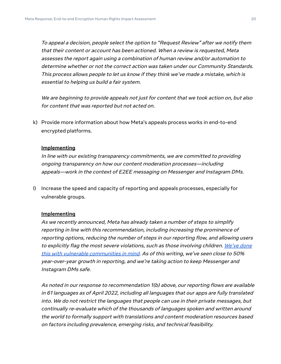To appeal <sup>a</sup> decision, people select the option to "Request Review" after we notify them that their content or account has been actioned. When <sup>a</sup> review is requested, Meta assesses the report again using <sup>a</sup> combination of human review and/or automation to determine whether or not the correct action was taken under our Community Standards. This process allows people to let us know if they think we've made <sup>a</sup> mistake, which is essential to helping us build <sup>a</sup> fair system.

We are beginning to provide appeals not just for content that we took action on, but also for content that was reported but not acted on.

k) Provide more information about how Meta's appeals process works in end-to-end encrypted platforms.

#### **Implementing**

In line with our existing transparency commitments, we are committed to providing ongoing transparency on how our content moderation processes—including appeals—work in the context of E2EE messaging on Messenger and Instagram DMs.

l) Increase the speed and capacity of reporting and appeals processes, especially for vulnerable groups.

#### **Implementing**

As we recently announced, Meta has already taken <sup>a</sup> number of steps to simplify reporting in line with this recommendation, including increasing the prominence of reporting options, reducing the number of steps in our reporting flow, and allowing users to explicitly flag the most severe violations, such as those involving children. [We've](https://messengernews.fb.com/2021/12/01/our-approach-to-safer-private-messaging/) done this with vulnerable [communities](https://messengernews.fb.com/2021/12/01/our-approach-to-safer-private-messaging/) in mind. As of this writing, we've seen close to 50% year-over-year growth in reporting, and we're taking action to keep Messenger and Instagram DMs safe.

As noted in our response to recommendation 1(b) above, our reporting flows are available in 61 languages as of April 2022, including all languages that our apps are fully translated into. We do not restrict the languages that people can use in their private messages, but continually re-evaluate which of the thousands of languages spoken and written around the world to formally support with translations and content moderation resources based on factors including prevalence, emerging risks, and technical feasibility.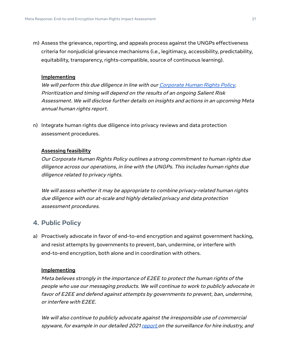m) Assess the grievance, reporting, and appeals process against the UNGPs effectiveness criteria for nonjudicial grievance mechanisms (i.e., legitimacy, accessibility, predictability, equitability, transparency, rights-compatible, source of continuous learning).

#### **Implementing**

We will perform this due diligence in line with our [Corporate](https://about.fb.com/wp-content/uploads/2021/03/Facebooks-Corporate-Human-Rights-Policy.pdf) Human Rights Policy. Prioritization and timing will depend on the results of an ongoing Salient Risk Assessment. We will disclose further details on insights and actions in an upcoming Meta annual human rights report.

n) Integrate human rights due diligence into privacy reviews and data protection assessment procedures.

#### **Assessing feasibility**

Our Corporate Human Rights Policy outlines <sup>a</sup> strong commitment to human rights due diligence across our operations, in line with the UNGPs. This includes human rights due diligence related to privacy rights.

We will assess whether it may be appropriate to combine privacy-related human rights due diligence with our at-scale and highly detailed privacy and data protection assessment procedures.

#### <span id="page-20-0"></span>**4. Public Policy**

a) Proactively advocate in favor of end-to-end encryption and against government hacking, and resist attempts by governments to prevent, ban, undermine, or interfere with end-to-end encryption, both alone and in coordination with others.

#### **Implementing**

Meta believes strongly in the importance of E2EE to protect the human rights of the people who use our messaging products. We will continue to work to publicly advocate in favor of E2EE and defend against attempts by governments to prevent, ban, undermine, or interfere with E2EE.

We will also continue to publicly advocate against the irresponsible use of commercial spyware, for example in our detailed 2021 [report](https://about.fb.com/news/2021/12/taking-action-against-surveillance-for-hire/) on the surveillance for hire industry, and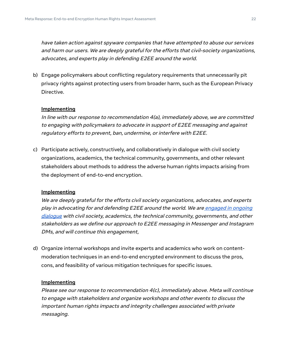have taken action against spyware companies that have attempted to abuse our services and harm our users. We are deeply grateful for the efforts that civil-society organizations, advocates, and experts play in defending E2EE around the world.

b) Engage policymakers about conflicting regulatory requirements that unnecessarily pit privacy rights against protecting users from broader harm, such as the European Privacy Directive.

#### **Implementing**

In line with our response to recommendation 4(a), immediately above, we are committed to engaging with policymakers to advocate in support of E2EE messaging and against regulatory efforts to prevent, ban, undermine, or interfere with E2EE.

c) Participate actively, constructively, and collaboratively in dialogue with civil society organizations, academics, the technical community, governments, and other relevant stakeholders about methods to address the adverse human rights impacts arising from the deployment of end-to-end encryption.

#### **Implementing**

We are deeply grateful for the efforts civil society organizations, advocates, and experts play in advocating for and defending E2EE around the world. We are [engaged](https://about.fb.com/news/2021/04/messenger-policy-workshop-future-of-private-messaging/) in ongoing [dialogue](https://about.fb.com/news/2021/04/messenger-policy-workshop-future-of-private-messaging/) with civil society, academics, the technical community, governments, and other stakeholders as we define our approach to E2EE messaging in Messenger and Instagram DMs, and will continue this engagement,

d) Organize internal workshops and invite experts and academics who work on contentmoderation techniques in an end-to-end encrypted environment to discuss the pros, cons, and feasibility of various mitigation techniques for specific issues.

#### **Implementing**

Please see our response to recommendation 4(c), immediately above. Meta will continue to engage with stakeholders and organize workshops and other events to discuss the important human rights impacts and integrity challenges associated with private messaging.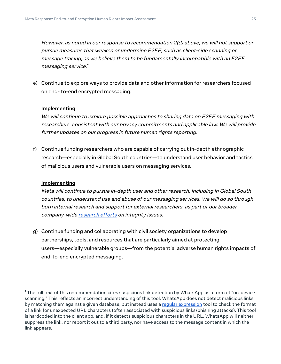However, as noted in our response to recommendation 2(d) above, we will not support or pursue measures that weaken or undermine E2EE, such as client-side scanning or message tracing, as we believe them to be fundamentally incompatible with an E2EE messaging service. 1

e) Continue to explore ways to provide data and other information for researchers focused on end- to-end encrypted messaging.

#### **Implementing**

We will continue to explore possible approaches to sharing data on E2EE messaging with researchers, consistent with our privacy commitments and applicable law. We will provide further updates on our progress in future human rights reporting.

f) Continue funding researchers who are capable of carrying out in-depth ethnographic research—especially in Global South countries—to understand user behavior and tactics of malicious users and vulnerable users on messaging services.

#### **Implementing**

Meta will continue to pursue in-depth user and other research, including in Global South countries, to understand use and abuse of our messaging services. We will do so through both internal research and support for external researchers, as part of our broader company-wide [research](https://research.facebook.com/) efforts on integrity issues.

g) Continue funding and collaborating with civil society organizations to develop partnerships, tools, and resources that are particularly aimed at protecting users—especially vulnerable groups—from the potential adverse human rights impacts of end-to-end encrypted messaging.

 $^1$ The full text of this recommendation cites suspicious link detection by WhatsApp as a form of "on-device scanning." This reflects an incorrect understanding of this tool. WhatsApp does not detect malicious links by matching them against a given database, but instead uses a reqular [expression](https://en.wikipedia.org/wiki/Regular_expression) tool to check the format of a link for unexpected URL characters (often associated with suspicious links/phishing attacks). This tool is hardcoded into the client app, and, if it detects suspicious characters in the URL, WhatsApp will neither suppress the link, nor report it out to a third party, nor have access to the message content in which the link appears.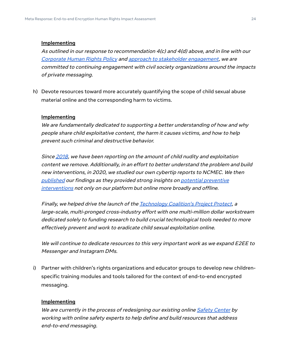As outlined in our response to recommendation 4(c) and 4(d) above, and in line with our [Corporate](https://about.fb.com/wp-content/uploads/2021/03/Facebooks-Corporate-Human-Rights-Policy.pdf) Human Rights Policy and approach to stakeholder [engagement](https://transparency.fb.com/en-gb/policies/improving/principles-guide-our-stakeholder-engagement/), we are committed to continuing engagement with civil society organizations around the impacts of private messaging.

h) Devote resources toward more accurately quantifying the scope of child sexual abuse material online and the corresponding harm to victims.

#### **Implementing**

We are fundamentally dedicated to supporting <sup>a</sup> better understanding of how and why people share child exploitative content, the harm it causes victims, and how to help prevent such criminal and destructive behavior.

Since [2018](https://transparency.fb.com/policies/community-standards/child-sexual-exploitation-abuse-nudity/?source=https%3A%2F%2Fwww.facebook.com%2Fcommunitystandards%2Fchild_nudity_sexual_exploitation), we have been reporting on the amount of child nudity and exploitation content we remove. Additionally, in an effort to better understand the problem and build new interventions, in 2020, we studied our own cybertip reports to NCMEC. We the[n](https://research.facebook.com/blog/2021/02/understanding-the-intentions-of-child-sexual-abuse-material-csam-sharers/) [published](https://research.facebook.com/blog/2021/02/understanding-the-intentions-of-child-sexual-abuse-material-csam-sharers/) our findings as they provided strong insights on potential [preventive](https://about.fb.com/news/2021/02/preventing-child-exploitation-on-our-apps/) [interventions](https://about.fb.com/news/2021/02/preventing-child-exploitation-on-our-apps/) not only on our platform but online more broadly and offline.

Finally, we helped drive the launch of the [Technology](https://about.fb.com/news/2020/06/fighting-child-exploitation-online/) Coalition's Project Protect, a large-scale, multi-pronged cross-industry effort with one multi-million dollar workstream dedicated solely to funding research to build crucial technological tools needed to more effectively prevent and work to eradicate child sexual exploitation online.

We will continue to dedicate resources to this very important work as we expand E2EE to Messenger and Instagram DMs.

i) Partner with children's rights organizations and educator groups to develop new childrenspecific training modules and tools tailored for the context of end-to-end encrypted messaging.

#### **Implementing**

We are currently in the process of redesigning our existing online [Safety](https://www.facebook.com/safety) Center by working with online safety experts to help define and build resources that address end-to-end messaging.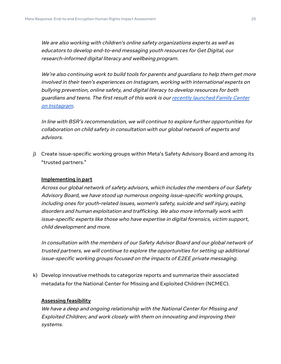We are also working with children's online safety organizations experts as well as educators to develop end-to-end messaging youth resources for Get Digital, our research-informed digital literacy and wellbeing program.

We're also continuing work to build tools for parents and guardians to help them get more involved in their teen's experiences on Instagram, working with international experts on bullying prevention, online safety, and digital literacy to develop resources for both guardians and teens. The first result of this work is our [recently](https://about.fb.com/news/2022/03/parental-supervision-tools-instagram-vr/) launched Family Center on [Instagram](https://about.fb.com/news/2022/03/parental-supervision-tools-instagram-vr/).

In line with BSR's recommendation, we will continue to explore further opportunities for collaboration on child safety in consultation with our global network of experts and advisors.

j) Create issue-specific working groups within Meta's Safety Advisory Board and among its "trusted partners."

#### **Implementing in part**

Across our global network of safety advisors, which includes the members of our Safety Advisory Board, we have stood up numerous ongoing issue-specific working groups, including ones for youth-related issues, women's safety, suicide and self injury, eating disorders and human exploitation and trafficking. We also more informally work with issue-specific experts like those who have expertise in digital forensics, victim support, child development and more.

In consultation with the members of our Safety Advisor Board and our global network of trusted partners, we will continue to explore the opportunities for setting up additional issue-specific working groups focused on the impacts of E2EE private messaging.

k) Develop innovative methods to categorize reports and summarize their associated metadata for the National Center for Missing and Exploited Children (NCMEC).

#### **Assessing feasibility**

We have <sup>a</sup> deep and ongoing relationship with the National Center for Missing and Exploited Children; and work closely with them on innovating and improving their systems.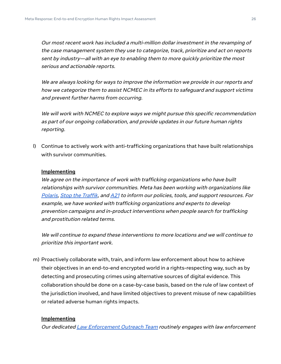Our most recent work has included <sup>a</sup> multi-million dollar investment in the revamping of the case management system they use to categorize, track, prioritize and act on reports sent by industry—all with an eye to enabling them to more quickly prioritize the most serious and actionable reports.

We are always looking for ways to improve the information we provide in our reports and how we categorize them to assist NCMEC in its efforts to safeguard and support victims and prevent further harms from occurring.

We will work with NCMEC to explore ways we might pursue this specific recommendation as part of our ongoing collaboration, and provide updates in our future human rights reporting.

l) Continue to actively work with anti-trafficking organizations that have built relationships with survivor communities.

#### **Implementing**

We agree on the importance of work with trafficking organizations who have built relationships with survivor communities. Meta has been working with organizations like [Polaris,](https://polarisproject.org/) Stop the [Traffik](https://www.stopthetraffik.org/), and [A21](https://www.a21.org/) to inform our policies, tools, and support resources. For example, we have worked with trafficking organizations and experts to develop prevention campaigns and in-product interventions when people search for trafficking and prostitution related terms.

We will continue to expand these interventions to more locations and we will continue to prioritize this important work.

m) Proactively collaborate with, train, and inform law enforcement about how to achieve their objectives in an end-to-end encrypted world in a rights-respecting way, such as by detecting and prosecuting crimes using alternative sources of digital evidence. This collaboration should be done on a case-by-case basis, based on the rule of law context of the jurisdiction involved, and have limited objectives to prevent misuse of new capabilities or related adverse human rights impacts.

#### **Implementing**

Our dedicated Law [Enforcement](https://www.facebook.com/safety/groups/law) Outreach Team routinely engages with law enforcement